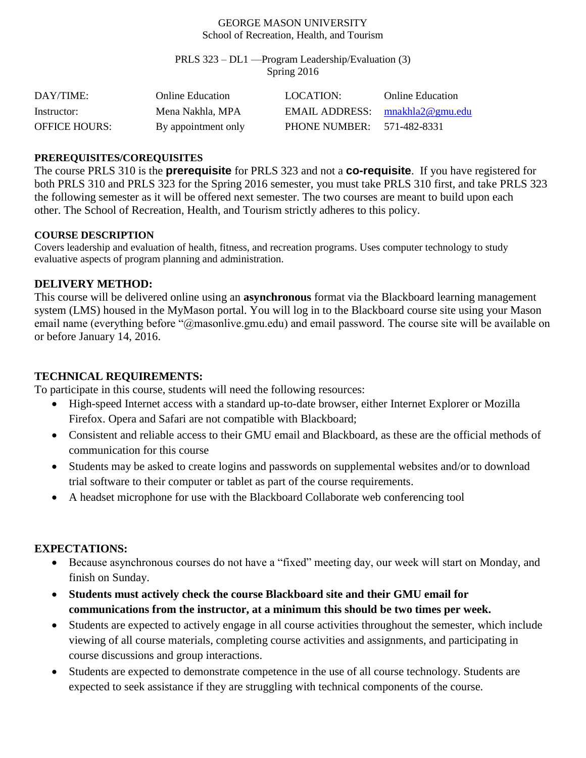#### GEORGE MASON UNIVERSITY School of Recreation, Health, and Tourism

PRLS 323 – DL1 —Program Leadership/Evaluation (3) Spring 2016

| DAY/TIME:            | Online Education    | LOCATION:                         | <b>Online Education</b> |
|----------------------|---------------------|-----------------------------------|-------------------------|
| Instructor:          | Mena Nakhla, MPA    | EMAIL ADDRESS: $mnakhla2@gmu.edu$ |                         |
| <b>OFFICE HOURS:</b> | By appointment only | PHONE NUMBER:                     | 571-482-8331            |

### **PREREQUISITES/COREQUISITES**

The course PRLS 310 is the **prerequisite** for PRLS 323 and not a **co-requisite**. If you have registered for both PRLS 310 and PRLS 323 for the Spring 2016 semester, you must take PRLS 310 first, and take PRLS 323 the following semester as it will be offered next semester. The two courses are meant to build upon each other. The School of Recreation, Health, and Tourism strictly adheres to this policy.

### **COURSE DESCRIPTION**

Covers leadership and evaluation of health, fitness, and recreation programs. Uses computer technology to study evaluative aspects of program planning and administration.

## **DELIVERY METHOD:**

This course will be delivered online using an **asynchronous** format via the Blackboard learning management system (LMS) housed in the MyMason portal. You will log in to the Blackboard course site using your Mason email name (everything before "@masonlive.gmu.edu) and email password. The course site will be available on or before January 14, 2016.

### **TECHNICAL REQUIREMENTS:**

To participate in this course, students will need the following resources:

- High-speed Internet access with a standard up-to-date browser, either Internet Explorer or Mozilla Firefox. Opera and Safari are not compatible with Blackboard;
- Consistent and reliable access to their GMU email and Blackboard, as these are the official methods of communication for this course
- Students may be asked to create logins and passwords on supplemental websites and/or to download trial software to their computer or tablet as part of the course requirements.
- A headset microphone for use with the Blackboard Collaborate web conferencing tool

### **EXPECTATIONS:**

- Because asynchronous courses do not have a "fixed" meeting day, our week will start on Monday, and finish on Sunday.
- **Students must actively check the course Blackboard site and their GMU email for communications from the instructor, at a minimum this should be two times per week.**
- Students are expected to actively engage in all course activities throughout the semester, which include viewing of all course materials, completing course activities and assignments, and participating in course discussions and group interactions.
- Students are expected to demonstrate competence in the use of all course technology. Students are expected to seek assistance if they are struggling with technical components of the course.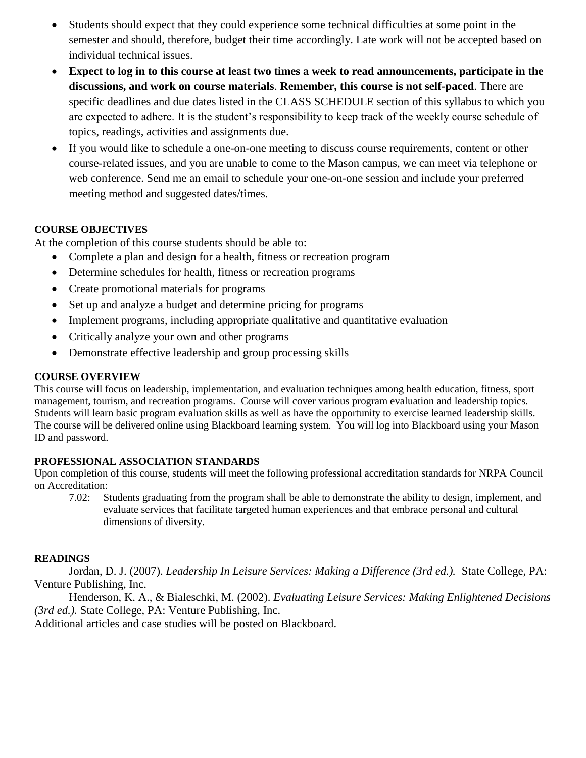- Students should expect that they could experience some technical difficulties at some point in the semester and should, therefore, budget their time accordingly. Late work will not be accepted based on individual technical issues.
- **Expect to log in to this course at least two times a week to read announcements, participate in the discussions, and work on course materials**. **Remember, this course is not self-paced**. There are specific deadlines and due dates listed in the CLASS SCHEDULE section of this syllabus to which you are expected to adhere. It is the student's responsibility to keep track of the weekly course schedule of topics, readings, activities and assignments due.
- If you would like to schedule a one-on-one meeting to discuss course requirements, content or other course-related issues, and you are unable to come to the Mason campus, we can meet via telephone or web conference. Send me an email to schedule your one-on-one session and include your preferred meeting method and suggested dates/times.

## **COURSE OBJECTIVES**

At the completion of this course students should be able to:

- Complete a plan and design for a health, fitness or recreation program
- Determine schedules for health, fitness or recreation programs
- Create promotional materials for programs
- Set up and analyze a budget and determine pricing for programs
- Implement programs, including appropriate qualitative and quantitative evaluation
- Critically analyze your own and other programs
- Demonstrate effective leadership and group processing skills

### **COURSE OVERVIEW**

This course will focus on leadership, implementation, and evaluation techniques among health education, fitness, sport management, tourism, and recreation programs. Course will cover various program evaluation and leadership topics. Students will learn basic program evaluation skills as well as have the opportunity to exercise learned leadership skills. The course will be delivered online using Blackboard learning system. You will log into Blackboard using your Mason ID and password.

### **PROFESSIONAL ASSOCIATION STANDARDS**

Upon completion of this course, students will meet the following professional accreditation standards for NRPA Council on Accreditation:

7.02: Students graduating from the program shall be able to demonstrate the ability to design, implement, and evaluate services that facilitate targeted human experiences and that embrace personal and cultural dimensions of diversity.

# **READINGS**

Jordan, D. J. (2007). *Leadership In Leisure Services: Making a Difference (3rd ed.).* State College, PA: Venture Publishing, Inc.

Henderson, K. A., & Bialeschki, M. (2002). *Evaluating Leisure Services: Making Enlightened Decisions (3rd ed.).* State College, PA: Venture Publishing, Inc.

Additional articles and case studies will be posted on Blackboard.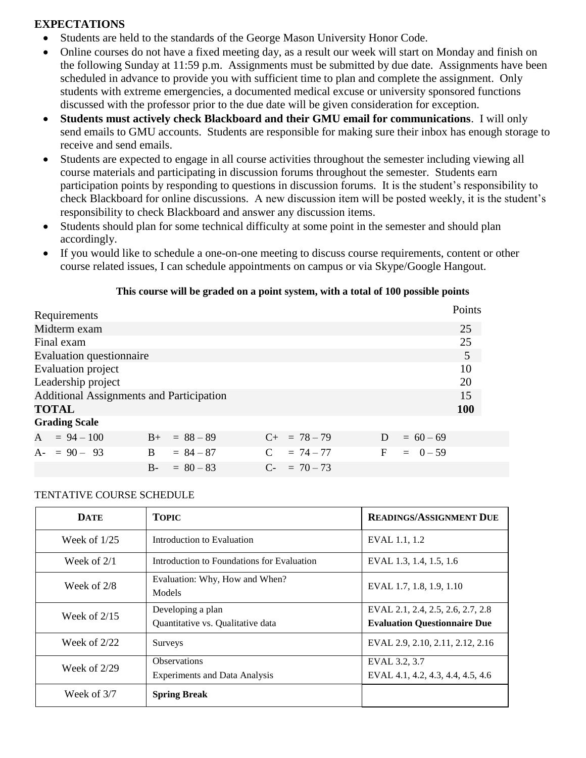## **EXPECTATIONS**

- Students are held to the standards of the George Mason University Honor Code.
- Online courses do not have a fixed meeting day, as a result our week will start on Monday and finish on the following Sunday at 11:59 p.m. Assignments must be submitted by due date. Assignments have been scheduled in advance to provide you with sufficient time to plan and complete the assignment. Only students with extreme emergencies, a documented medical excuse or university sponsored functions discussed with the professor prior to the due date will be given consideration for exception.
- **Students must actively check Blackboard and their GMU email for communications**. I will only send emails to GMU accounts. Students are responsible for making sure their inbox has enough storage to receive and send emails.
- Students are expected to engage in all course activities throughout the semester including viewing all course materials and participating in discussion forums throughout the semester. Students earn participation points by responding to questions in discussion forums. It is the student's responsibility to check Blackboard for online discussions. A new discussion item will be posted weekly, it is the student's responsibility to check Blackboard and answer any discussion items.
- Students should plan for some technical difficulty at some point in the semester and should plan accordingly.
- If you would like to schedule a one-on-one meeting to discuss course requirements, content or other course related issues, I can schedule appointments on campus or via Skype/Google Hangout.

### **This course will be graded on a point system, with a total of 100 possible points**

| Requirements                                    |                |                   |   |             | Points     |
|-------------------------------------------------|----------------|-------------------|---|-------------|------------|
| Midterm exam                                    |                |                   |   |             | 25         |
| Final exam                                      |                |                   |   |             | 25         |
| Evaluation questionnaire                        |                |                   |   |             | 5          |
| <b>Evaluation</b> project                       |                |                   |   |             | 10         |
| Leadership project                              |                |                   |   |             | 20         |
| <b>Additional Assignments and Participation</b> |                |                   |   |             | 15         |
| <b>TOTAL</b>                                    |                |                   |   |             | <b>100</b> |
| <b>Grading Scale</b>                            |                |                   |   |             |            |
| $A = 94 - 100$                                  | $B+ = 88 - 89$ | $C_{+}$ = 78 - 79 | D | $= 60 - 69$ |            |
| $A - 90 - 93$<br>B.                             | $= 84 - 87$    | $C = 74 - 77$     | F | $= 0 - 59$  |            |
| $B -$                                           | $= 80 - 83$    | $C_{-}$ = 70 – 73 |   |             |            |

#### TENTATIVE COURSE SCHEDULE

| <b>DATE</b>    | <b>TOPIC</b>                                                | <b>READINGS/ASSIGNMENT DUE</b>                                           |
|----------------|-------------------------------------------------------------|--------------------------------------------------------------------------|
| Week of $1/25$ | Introduction to Evaluation                                  | EVAL 1.1, 1.2                                                            |
| Week of $2/1$  | Introduction to Foundations for Evaluation                  | EVAL 1.3, 1.4, 1.5, 1.6                                                  |
| Week of $2/8$  | Evaluation: Why, How and When?<br>Models                    | EVAL 1.7, 1.8, 1.9, 1.10                                                 |
| Week of $2/15$ | Developing a plan<br>Quantitative vs. Qualitative data      | EVAL 2.1, 2.4, 2.5, 2.6, 2.7, 2.8<br><b>Evaluation Questionnaire Due</b> |
| Week of $2/22$ | Surveys                                                     | EVAL 2.9, 2.10, 2.11, 2.12, 2.16                                         |
| Week of $2/29$ | <b>Observations</b><br><b>Experiments and Data Analysis</b> | EVAL 3.2, 3.7<br>EVAL 4.1, 4.2, 4.3, 4.4, 4.5, 4.6                       |
| Week of $3/7$  | <b>Spring Break</b>                                         |                                                                          |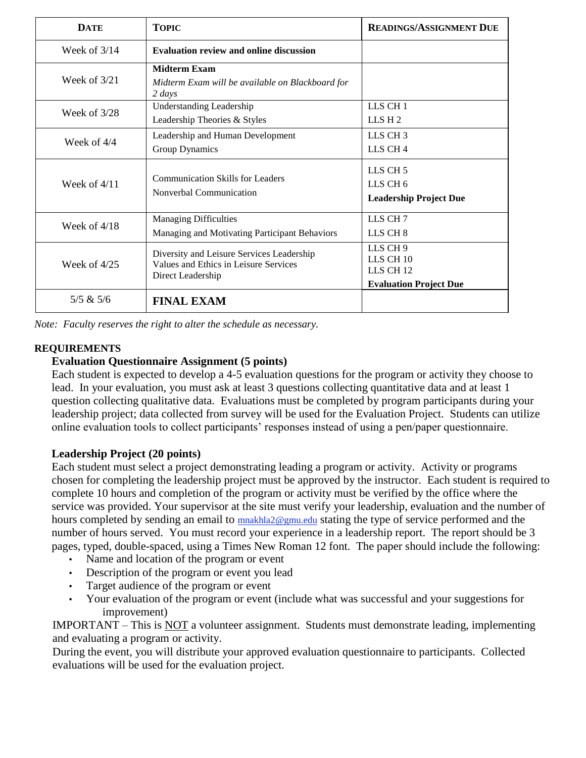| <b>DATE</b>    | <b>TOPIC</b>                                                                                            | <b>READINGS/ASSIGNMENT DUE</b>                                                 |
|----------------|---------------------------------------------------------------------------------------------------------|--------------------------------------------------------------------------------|
| Week of $3/14$ | <b>Evaluation review and online discussion</b>                                                          |                                                                                |
| Week of $3/21$ | <b>Midterm Exam</b><br>Midterm Exam will be available on Blackboard for<br>$2 \; days$                  |                                                                                |
| Week of $3/28$ | <b>Understanding Leadership</b><br>Leadership Theories & Styles                                         | LLS CH <sub>1</sub><br>LLS H <sub>2</sub>                                      |
| Week of $4/4$  | Leadership and Human Development<br>Group Dynamics                                                      | LLS CH <sub>3</sub><br>LLS CH <sub>4</sub>                                     |
| Week of $4/11$ | Communication Skills for Leaders<br>Nonverbal Communication                                             | LLS CH <sub>5</sub><br>LLS CH <sub>6</sub><br><b>Leadership Project Due</b>    |
| Week of $4/18$ | <b>Managing Difficulties</b><br>Managing and Motivating Participant Behaviors                           | LLS CH <sub>7</sub><br>LLS CH <sub>8</sub>                                     |
| Week of $4/25$ | Diversity and Leisure Services Leadership<br>Values and Ethics in Leisure Services<br>Direct Leadership | LLS CH 9<br>LLS CH 10<br>LLS CH <sub>12</sub><br><b>Evaluation Project Due</b> |
| 5/5 & 5/6      | <b>FINAL EXAM</b>                                                                                       |                                                                                |

*Note: Faculty reserves the right to alter the schedule as necessary.*

# **REQUIREMENTS**

# **Evaluation Questionnaire Assignment (5 points)**

Each student is expected to develop a 4-5 evaluation questions for the program or activity they choose to lead. In your evaluation, you must ask at least 3 questions collecting quantitative data and at least 1 question collecting qualitative data. Evaluations must be completed by program participants during your leadership project; data collected from survey will be used for the Evaluation Project. Students can utilize online evaluation tools to collect participants' responses instead of using a pen/paper questionnaire.

# **Leadership Project (20 points)**

Each student must select a project demonstrating leading a program or activity. Activity or programs chosen for completing the leadership project must be approved by the instructor. Each student is required to complete 10 hours and completion of the program or activity must be verified by the office where the service was provided. Your supervisor at the site must verify your leadership, evaluation and the number of hours completed by sending an email to **[mnakhla2@gmu.edu](mailto:khaldem1@gmu.edu)** stating the type of service performed and the number of hours served. You must record your experience in a leadership report. The report should be 3 pages, typed, double-spaced, using a Times New Roman 12 font. The paper should include the following:

- Name and location of the program or event
- Description of the program or event you lead
- Target audience of the program or event
- Your evaluation of the program or event (include what was successful and your suggestions for improvement)

IMPORTANT – This is NOT a volunteer assignment. Students must demonstrate leading, implementing and evaluating a program or activity.

During the event, you will distribute your approved evaluation questionnaire to participants. Collected evaluations will be used for the evaluation project.